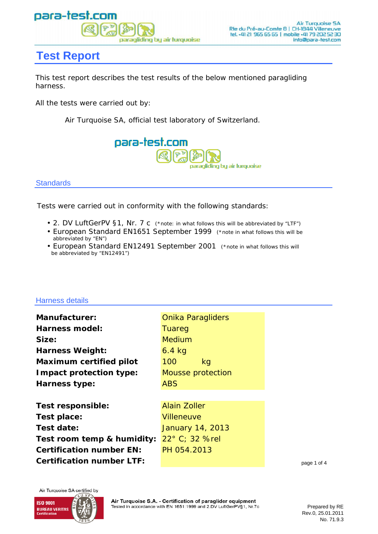

# **Test Report**

This test report describes the test results of the below mentioned paragliding harness.

All the tests were carried out by:

Air Turquoise SA, official test laboratory of Switzerland.



**Standards** 

Tests were carried out in conformity with the following standards:

- 2. DV LuftGerPV §1, Nr. 7 c (\*note: in what follows this will be abbreviated by "LTF")
- European Standard EN1651 September 1999 (\*note in what follows this will be abbreviated by "EN")
- European Standard EN12491 September 2001 (\*note in what follows this will be abbreviated by "EN12491")

### Harness details

| <b>Manufacturer:</b>           |
|--------------------------------|
| <b>Harness model:</b>          |
| Size:                          |
| <b>Harness Weight:</b>         |
| <b>Maximum certified pilot</b> |
| Impact protection type:        |
| <b>Harness type:</b>           |
|                                |

**Certification number EN: Certification number LTF: Test responsible: Test place: Test date: Test room temp & humidity:** 22° C; 32 %rel

100 kg ABS **Mousse protection** Onika Paragliders **Tuareg** Medium 6.4 kg

Alain Zoller **Villeneuve** January 14, 2013 PH 054.2013

page 1 of 4

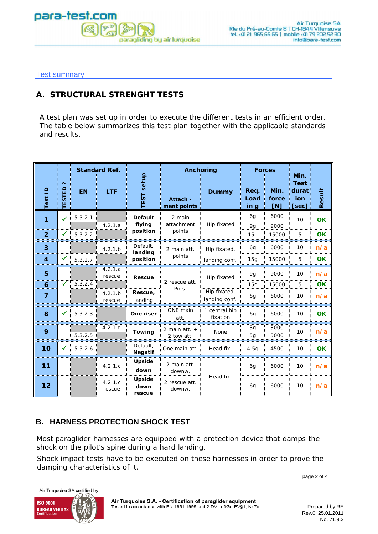

Test summary

### **A. STRUCTURAL STRENGHT TESTS**

A test plan was set up in order to execute the different tests in an efficient order. The table below summarizes this test plan together with the applicable standards and results.

|                |   |                       | <b>Standard Ref.</b> |                          |                               | Anchoring                     |                      | <b>Forces</b>        | Min.                                 |           |
|----------------|---|-----------------------|----------------------|--------------------------|-------------------------------|-------------------------------|----------------------|----------------------|--------------------------------------|-----------|
| Test ID        | ш | <b>EN</b>             | <b>LTF</b>           | setup<br><b>EST</b>      | Attach -<br>ment points       | <b>Dummy</b>                  | Req.<br>Load<br>in g | Min.<br>force<br>[N] | Test<br>durat<br><b>jon</b><br>[sec] | Result    |
| 1              |   | 5.3.2.1               | 4.2.1.a              | <b>Default</b><br>flying | 2 main<br>attachment          | Hip fixated                   | 6g<br>9g             | 6000<br>9000         | 10                                   | <b>OK</b> |
| $\overline{2}$ |   | $\frac{1}{1}$ 5.3.2.2 |                      | position                 | points                        |                               | 15g                  | 15000                | 5                                    | OK        |
| 3              |   |                       | 4.2.1.b              | Default,<br>landing      | 2 main att.                   | Hip fixated,                  | 6g                   | 6000                 | 10                                   | n/a       |
| 4              |   | $\bigvee$ 5.3.2.7     |                      | position                 | points                        | landing conf.                 | 15g                  | 15000                |                                      | OΚ        |
| 5              |   |                       | 4.2.1a<br>rescue     | <b>Rescue</b>            |                               | Hip fixated                   | 9g                   | 9000                 | 10                                   | n/a       |
| $\mathbf{6}$   |   | $\sqrt{5.3.2.4}$      |                      |                          | 2 rescue att.<br>Pnts.        |                               | 15g                  | 15000                | 5                                    | OK        |
| $\overline{7}$ |   |                       | 4.2.1.b<br>rescue    | Rescue,<br>landing       |                               | Hip fixated,<br>landing conf. | 6q                   | 6000                 | 10                                   | n/a       |
| 8              | ✔ | 5.3.2.3               |                      | One riser                | ONE main<br>att.              | 1 central hip<br>fixation     | 6g                   | 6000                 | 10                                   | <b>OK</b> |
| 9              |   | 1, 5.3.2.5            | 4.2.1.d              | <b>Towing</b>            | 2 main att. $+$<br>2 tow att. | None                          | 3g<br>5g             | 3000<br>5000         | 10                                   | n/a       |
| 10             |   | $\checkmark$ 5.3.2.6  |                      | Default,<br>Negatif      | One main att.                 | Head fix.                     | 4.5q                 | 4500                 | 10                                   | <b>OK</b> |
| 11             |   |                       | 4.2.1.c              | Upside<br>down           | 2 main att.<br>downw.         |                               | 6g                   | 6000                 | 10                                   | n/a       |
| 12             |   |                       | 4.2.1.c<br>rescue    | Upside<br>down<br>rescue | 2 rescue att.<br>downw.       | Head fix.                     | 6g                   | 6000                 | 10                                   | n/a       |

### **B. HARNESS PROTECTION SHOCK TEST**

Most paraglider harnesses are equipped with a protection device that damps the shock on the pilot's spine during a hard landing.

Shock impact tests have to be executed on these harnesses in order to prove the damping characteristics of it.

page 2 of 4

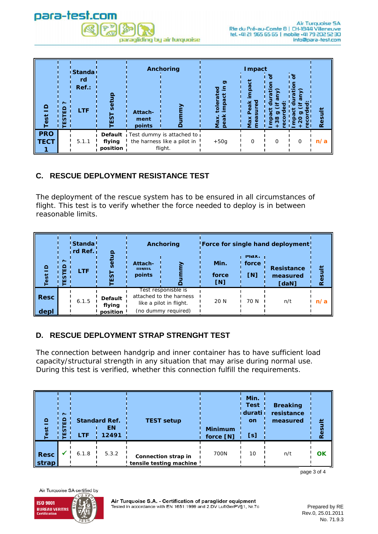

| $\Omega$<br>est           | $\sim$<br>θ<br>U. | <b>I</b> Standa<br>rd<br>$Ref.$ :<br><b>LTF</b> | о                  | Attach-<br>ment<br>points | Anchoring                                                                   | ත<br>ъ<br>impaci<br>ω<br><u>ielo</u><br>Max.<br>peal | Impact<br>impact<br>ಕ್ಷ<br>Peak<br>Max<br>ී | o<br>္လ<br>ъ<br>$\frac{8}{3}$<br>Q<br>Ē | $\widehat{\bm{\Sigma}}$ | Result |
|---------------------------|-------------------|-------------------------------------------------|--------------------|---------------------------|-----------------------------------------------------------------------------|------------------------------------------------------|---------------------------------------------|-----------------------------------------|-------------------------|--------|
| <b>PRO</b><br><b>TECT</b> |                   | 5.1.1                                           | flying<br>position |                           | Default Test dummy is attached to<br>the harness like a pilot in<br>flight. | $+50g$                                               | 0                                           | 0                                       | 0                       | n/a    |

# **C. RESCUE DEPLOYMENT RESISTANCE TEST**

The deployment of the rescue system has to be ensured in all circumstances of flight. This test is to verify whether the force needed to deploy is in between reasonable limits.

|                     |                  | <b>Standa</b><br>ı rd Ref. ı |                                      | Anchoring                 |                                                                                                  | Force for single hand deployment!<br>IVIdX. |              |                                        |        |
|---------------------|------------------|------------------------------|--------------------------------------|---------------------------|--------------------------------------------------------------------------------------------------|---------------------------------------------|--------------|----------------------------------------|--------|
| $\Omega$<br>est     | $\sim$<br>ш<br>ш | <b>LTF</b>                   |                                      | Attach-<br>ment<br>points |                                                                                                  | Min.<br>force<br>[N]                        | force<br>[N] | <b>Resistance</b><br>measured<br>[daN] | Result |
| <b>Resc</b><br>depl |                  | 6.1.5                        | <b>Default</b><br>flying<br>position |                           | Test responisble is<br>attached to the harness<br>like a pilot in flight.<br>(no dummy required) | 20 N                                        | 70 N         | n/t                                    | n/a    |

## **D. RESCUE DEPLOYMENT STRAP STRENGHT TEST**

The connection between handgrip and inner container has to have sufficient load capacity/structural strength in any situation that may arise during normal use. During this test is verified, whether this connection fulfill the requirements.

| $\mathbf{P}$<br>est  | $\sim$<br>≏<br>ш<br>n<br>ш | <b>LTF</b> | <b>Standard Ref.</b><br>ΕN<br>12491 | <b>TEST setup</b>                              | <b>Minimum</b><br>force [N] | Min.<br><b>Test</b><br>durati<br>on<br>[s] | <b>Breaking</b><br>resistance<br>measured | 兰<br>Resu |
|----------------------|----------------------------|------------|-------------------------------------|------------------------------------------------|-----------------------------|--------------------------------------------|-------------------------------------------|-----------|
| <b>Resc</b><br>strap |                            | 6.1.8      | 5.3.2                               | Connection strap in<br>tensile testing machine | 700N                        | 10                                         | n/t                                       | OK        |

page 3 of 4

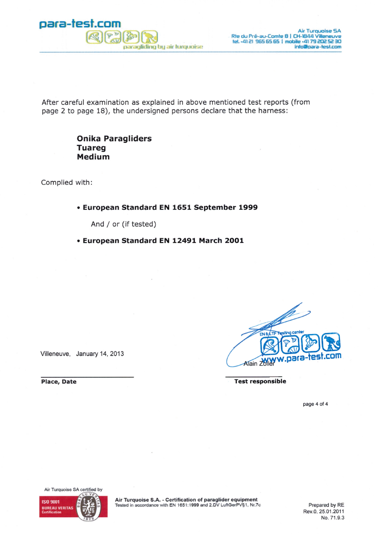

After careful examination as explained in above mentioned test reports (from page 2 to page 18), the undersigned persons declare that the harness:

### **Onika Paragliders Tuareg** Medium

Complied with:

### • European Standard EN 1651 September 1999

And / or (if tested)

• European Standard EN 12491 March 2001

Villeneuve, January 14, 2013

 $\mathscr{L}$ EN & LTF Testing center .para-tes Alain Zol

**Test responsible** 

page 4 of 4

Air Turquoise SA certified by **ISO 9001 BUREAU VERITAS** 

Air Turquoise S.A. - Certification of paraglider equipment<br>Tested in accordance with EN 1651:1999 and 2.DV LuftGerPV§1, Nr.7c

Prepared by RE Rev.0, 25.01.2011 No. 71.9.3

**Place, Date**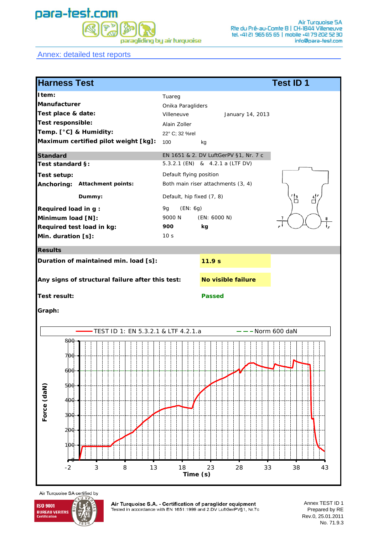# para-test.com paragliding by air turquoise

Annex: detailed test reports



Air Turquoise SA certified by



Air Turquoise S.A. - Certification of paraglider equipment Tested in accordance with EN 1651:1999 and 2.DV LuftGerPV§1, Nr.7c

Annex TEST ID 1 Prepared by RE Rev.0, 25.01.2011 No. 71.9.3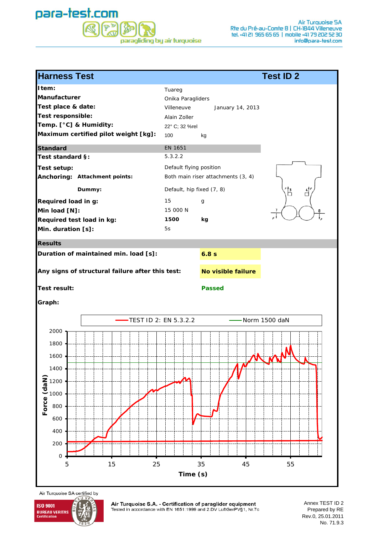### para-test.com  $P^{\nu}$ 弱 paragliding by air turguoise

| Tuareg<br>Onika Paragliders<br>Villeneuve<br>January 14, 2013<br>Alain Zoller<br>22° C; 32 %rel<br>100<br>kg<br>EN 1651<br>Test standard §:<br>5.3.2.2<br>Default flying position<br><b>Test setup:</b><br>Anchoring: Attachment points:<br>Both main riser attachments (3, 4)<br>Default, hip fixed (7, 8)<br>Dummy:<br>( B<br>$\overline{d}'$<br>15<br>g<br>15 000 N<br>1500<br>kg<br>5s<br><b>Results</b><br>6.8s<br>Any signs of structural failure after this test:<br>No visible failure<br>Test result:<br><b>Passed</b><br>Graph:<br>TEST ID 2: EN 5.3.2.2<br>Norm 1500 daN<br>2000<br>1800<br>1600<br>1400<br>Force (daN)<br>1200<br>1000<br>800<br>600<br>400<br>200<br>$\mathsf{O}\xspace$<br>15<br>35<br>25<br>45<br>55<br>5<br>Time (s) | <b>Harness Test</b>                   | <b>Test ID 2</b> |
|------------------------------------------------------------------------------------------------------------------------------------------------------------------------------------------------------------------------------------------------------------------------------------------------------------------------------------------------------------------------------------------------------------------------------------------------------------------------------------------------------------------------------------------------------------------------------------------------------------------------------------------------------------------------------------------------------------------------------------------------------|---------------------------------------|------------------|
|                                                                                                                                                                                                                                                                                                                                                                                                                                                                                                                                                                                                                                                                                                                                                      | Item:                                 |                  |
|                                                                                                                                                                                                                                                                                                                                                                                                                                                                                                                                                                                                                                                                                                                                                      | <b>Manufacturer</b>                   |                  |
|                                                                                                                                                                                                                                                                                                                                                                                                                                                                                                                                                                                                                                                                                                                                                      | Test place & date:                    |                  |
|                                                                                                                                                                                                                                                                                                                                                                                                                                                                                                                                                                                                                                                                                                                                                      | Test responsible:                     |                  |
|                                                                                                                                                                                                                                                                                                                                                                                                                                                                                                                                                                                                                                                                                                                                                      | Temp. [°C] & Humidity:                |                  |
|                                                                                                                                                                                                                                                                                                                                                                                                                                                                                                                                                                                                                                                                                                                                                      | Maximum certified pilot weight [kg]:  |                  |
|                                                                                                                                                                                                                                                                                                                                                                                                                                                                                                                                                                                                                                                                                                                                                      | Standard                              |                  |
|                                                                                                                                                                                                                                                                                                                                                                                                                                                                                                                                                                                                                                                                                                                                                      |                                       |                  |
|                                                                                                                                                                                                                                                                                                                                                                                                                                                                                                                                                                                                                                                                                                                                                      |                                       |                  |
|                                                                                                                                                                                                                                                                                                                                                                                                                                                                                                                                                                                                                                                                                                                                                      |                                       |                  |
|                                                                                                                                                                                                                                                                                                                                                                                                                                                                                                                                                                                                                                                                                                                                                      |                                       |                  |
|                                                                                                                                                                                                                                                                                                                                                                                                                                                                                                                                                                                                                                                                                                                                                      | Required load in g:                   |                  |
|                                                                                                                                                                                                                                                                                                                                                                                                                                                                                                                                                                                                                                                                                                                                                      | Min load [N]:                         |                  |
|                                                                                                                                                                                                                                                                                                                                                                                                                                                                                                                                                                                                                                                                                                                                                      | Required test load in kg:             |                  |
|                                                                                                                                                                                                                                                                                                                                                                                                                                                                                                                                                                                                                                                                                                                                                      | Min. duration [s]:                    |                  |
|                                                                                                                                                                                                                                                                                                                                                                                                                                                                                                                                                                                                                                                                                                                                                      |                                       |                  |
|                                                                                                                                                                                                                                                                                                                                                                                                                                                                                                                                                                                                                                                                                                                                                      | Duration of maintained min. load [s]: |                  |
|                                                                                                                                                                                                                                                                                                                                                                                                                                                                                                                                                                                                                                                                                                                                                      |                                       |                  |
|                                                                                                                                                                                                                                                                                                                                                                                                                                                                                                                                                                                                                                                                                                                                                      |                                       |                  |
|                                                                                                                                                                                                                                                                                                                                                                                                                                                                                                                                                                                                                                                                                                                                                      |                                       |                  |
|                                                                                                                                                                                                                                                                                                                                                                                                                                                                                                                                                                                                                                                                                                                                                      |                                       |                  |
|                                                                                                                                                                                                                                                                                                                                                                                                                                                                                                                                                                                                                                                                                                                                                      |                                       |                  |
|                                                                                                                                                                                                                                                                                                                                                                                                                                                                                                                                                                                                                                                                                                                                                      |                                       |                  |
|                                                                                                                                                                                                                                                                                                                                                                                                                                                                                                                                                                                                                                                                                                                                                      |                                       |                  |
|                                                                                                                                                                                                                                                                                                                                                                                                                                                                                                                                                                                                                                                                                                                                                      |                                       |                  |
|                                                                                                                                                                                                                                                                                                                                                                                                                                                                                                                                                                                                                                                                                                                                                      |                                       |                  |
|                                                                                                                                                                                                                                                                                                                                                                                                                                                                                                                                                                                                                                                                                                                                                      |                                       |                  |
|                                                                                                                                                                                                                                                                                                                                                                                                                                                                                                                                                                                                                                                                                                                                                      |                                       |                  |
|                                                                                                                                                                                                                                                                                                                                                                                                                                                                                                                                                                                                                                                                                                                                                      |                                       |                  |
|                                                                                                                                                                                                                                                                                                                                                                                                                                                                                                                                                                                                                                                                                                                                                      |                                       |                  |
|                                                                                                                                                                                                                                                                                                                                                                                                                                                                                                                                                                                                                                                                                                                                                      |                                       |                  |
|                                                                                                                                                                                                                                                                                                                                                                                                                                                                                                                                                                                                                                                                                                                                                      |                                       |                  |
|                                                                                                                                                                                                                                                                                                                                                                                                                                                                                                                                                                                                                                                                                                                                                      |                                       |                  |
|                                                                                                                                                                                                                                                                                                                                                                                                                                                                                                                                                                                                                                                                                                                                                      |                                       |                  |
|                                                                                                                                                                                                                                                                                                                                                                                                                                                                                                                                                                                                                                                                                                                                                      |                                       |                  |

 $\overline{u}$   $\overline{v}$ **ISO 9001 BUREAU VERITAS**<br>Certification

Air Turquoise SA certified by

Air Turquoise S.A. - Certification of paraglider equipment<br>Tested in accordance with EN 1651:1999 and 2.DV LuftGerPV§1, Nr.7c

Annex TEST ID 2 Prepared by RE Rev.0, 25.01.2011 No. 71.9.3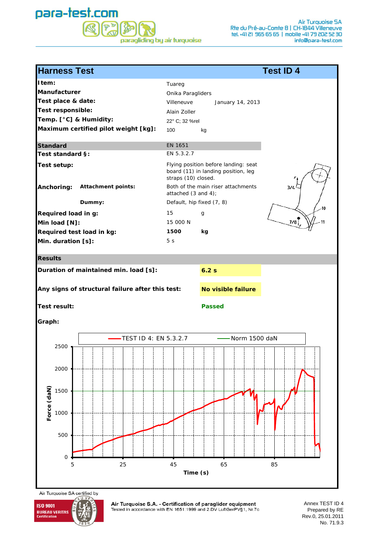### para-test.com  $P^{\nu}$ S  $\mathbb{R}$ paragliding by air turquoise

| <b>Harness Test</b>                                                                                                                | <b>Test ID 4</b>                                                                                                                                                                                    |
|------------------------------------------------------------------------------------------------------------------------------------|-----------------------------------------------------------------------------------------------------------------------------------------------------------------------------------------------------|
| Item:<br>Manufacturer<br>Test place & date:<br>Test responsible:<br>Temp. [°C] & Humidity:<br>Maximum certified pilot weight [kg]: | Tuareg<br>Onika Paragliders<br>Villeneuve<br>January 14, 2013<br>Alain Zoller<br>22° C; 32 %rel<br>100<br>kg                                                                                        |
| <b>Standard</b>                                                                                                                    | EN 1651                                                                                                                                                                                             |
| Test standard §:                                                                                                                   | EN 5.3.2.7                                                                                                                                                                                          |
| <b>Test setup:</b><br><b>Attachment points:</b><br>Anchoring:<br>Dummy:                                                            | Flying position before landing: seat<br>board (11) in landing position, leg<br>straps (10) closed.<br>Both of the main riser attachments<br>3/4<br>attached (3 and 4);<br>Default, hip fixed (7, 8) |
| Required load in g:                                                                                                                | 15<br>g                                                                                                                                                                                             |
| Min load [N]:                                                                                                                      | 7/8<br>15 000 N                                                                                                                                                                                     |
| Required test load in kg:                                                                                                          | 1500<br>kg                                                                                                                                                                                          |
| Min. duration [s]:                                                                                                                 | 5 <sub>s</sub>                                                                                                                                                                                      |
| <b>Results</b>                                                                                                                     |                                                                                                                                                                                                     |
| Duration of maintained min. load [s]:                                                                                              | 6.2s                                                                                                                                                                                                |
| Any signs of structural failure after this test:                                                                                   | No visible failure                                                                                                                                                                                  |
| <b>Test result:</b>                                                                                                                | <b>Passed</b>                                                                                                                                                                                       |
| Graph:                                                                                                                             |                                                                                                                                                                                                     |
| -TEST ID 4: EN 5.3.2.7<br>2500                                                                                                     | -Norm 1500 daN                                                                                                                                                                                      |
| 2000                                                                                                                               |                                                                                                                                                                                                     |
| 1500                                                                                                                               |                                                                                                                                                                                                     |
| Force (daN)<br>1000                                                                                                                |                                                                                                                                                                                                     |
| 500                                                                                                                                |                                                                                                                                                                                                     |
| $\mathbf 0$<br>25<br>5                                                                                                             | 65<br>45<br>85<br>Time (s)                                                                                                                                                                          |

Air Turquoise SA certified by  $\overline{U}$ 



Air Turquoise S.A. - Certification of paraglider equipment<br>Tested in accordance with EN 1651:1999 and 2.DV LuftGerPV§1, Nr.7c

Annex TEST ID 4 Prepared by RE Rev.0, 25.01.2011 No. 71.9.3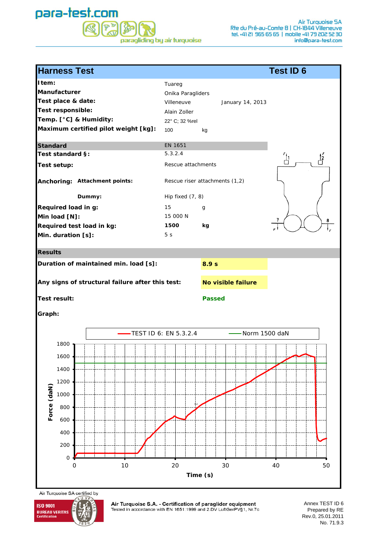### para-test.com  $\boxed{\mathbb{P}^{\mathbb{D}}$ 经 paragliding by air turquoise

| <b>Harness Test</b>                                                                                                                                                                                                       | <b>Test ID 6</b>                                                                                                                                                                                           |
|---------------------------------------------------------------------------------------------------------------------------------------------------------------------------------------------------------------------------|------------------------------------------------------------------------------------------------------------------------------------------------------------------------------------------------------------|
| Item:<br>Manufacturer<br>Test place & date:<br>Test responsible:<br>Temp. [°C] & Humidity:<br>Maximum certified pilot weight [kg]:<br><b>Standard</b><br>Test standard §:<br>Test setup:<br>Anchoring: Attachment points: | Tuareg<br>Onika Paragliders<br>Villeneuve<br>January 14, 2013<br>Alain Zoller<br>22° C; 32 %rel<br>100<br>kg<br>EN 1651<br>5.3.2.4<br>រ<br>ក<br>Íź<br>Rescue attachments<br>Rescue riser attachments (1,2) |
| Dummy:<br>Required load in g:<br>Min load [N]:<br>Required test load in kg:<br>Min. duration [s]:                                                                                                                         | Hip fixed (7, 8)<br>15<br>g<br>15 000 N<br>8<br>1500<br>kg<br>5 <sub>s</sub>                                                                                                                               |
| <b>Results</b><br>Duration of maintained min. load [s]:                                                                                                                                                                   | 8.9 <sub>s</sub>                                                                                                                                                                                           |
| Any signs of structural failure after this test:<br>Test result:<br>Graph:                                                                                                                                                | No visible failure<br><b>Passed</b>                                                                                                                                                                        |
|                                                                                                                                                                                                                           | -TEST ID 6: EN 5.3.2.4<br>Norm 1500 daN                                                                                                                                                                    |
| $1800 -$<br>1600<br>1400<br>1200<br>Force (daN)<br>1000<br>800<br>600<br>400<br>200<br>$\mathsf O$<br>10<br>0                                                                                                             | 20<br>30<br>40<br>50                                                                                                                                                                                       |
|                                                                                                                                                                                                                           | Time (s)                                                                                                                                                                                                   |



Air Turquoise S.A. - Certification of paraglider equipment<br>Tested in accordance with EN 1651:1999 and 2.DV LuftGerPV§1, Nr.7c

Annex TEST ID 6 Prepared by RE Rev.0, 25.01.2011 No. 71.9.3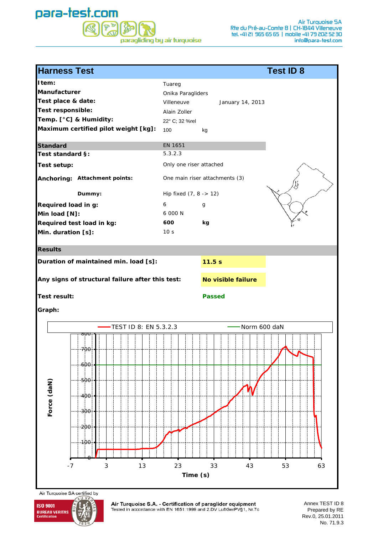### para-test.com  $\mathbb{P}^{\nu}$ S  $\mathbb{R}$ paragliding by air turquoise

| <b>Harness Test</b>                                                                         |                                                  |                                                                                    |                                | <b>Test ID 8</b> |
|---------------------------------------------------------------------------------------------|--------------------------------------------------|------------------------------------------------------------------------------------|--------------------------------|------------------|
| I tem:<br>Manufacturer<br>Test place & date:<br>Test responsible:<br>Temp. [°C] & Humidity: | Maximum certified pilot weight [kg]:             | Tuareg<br>Onika Paragliders<br>Villeneuve<br>Alain Zoller<br>22° C; 32 %rel<br>100 | January 14, 2013<br>kg         |                  |
| <b>Standard</b>                                                                             |                                                  | EN 1651                                                                            |                                |                  |
| Test standard §:                                                                            |                                                  | 5.3.2.3                                                                            |                                |                  |
| <b>Test setup:</b>                                                                          |                                                  | Only one riser attached                                                            |                                |                  |
|                                                                                             | Anchoring: Attachment points:                    |                                                                                    | One main riser attachments (3) |                  |
|                                                                                             | Dummy:                                           | Hip fixed $(7, 8 - 12)$                                                            |                                |                  |
| Required load in g:<br>Min load [N]:<br>Min. duration [s]:                                  | Required test load in kg:                        | 6<br>6 000 N<br>600<br>10 <sub>s</sub>                                             | g<br>kg                        |                  |
| <b>Results</b>                                                                              |                                                  |                                                                                    |                                |                  |
|                                                                                             | Duration of maintained min. load [s]:            |                                                                                    | 11.5s                          |                  |
|                                                                                             | Any signs of structural failure after this test: |                                                                                    | No visible failure             |                  |
| <b>Test result:</b>                                                                         |                                                  |                                                                                    | <b>Passed</b>                  |                  |
| Graph:                                                                                      |                                                  |                                                                                    |                                |                  |
|                                                                                             | TEST ID 8: EN 5.3.2.3                            |                                                                                    | Norm 600 daN                   |                  |
|                                                                                             | 800                                              |                                                                                    |                                |                  |
| Force (daN)                                                                                 | 700<br>-600<br>500<br>400<br>300<br>200<br>100   |                                                                                    |                                |                  |
| $-7$                                                                                        | 3<br>13                                          | 23<br>Time (s)                                                                     | 33<br>43                       | 53<br>63         |

Air Turquoise SA certified by  $\overline{u}$ 



Air Turquoise S.A. - Certification of paraglider equipment<br>Tested in accordance with EN 1651:1999 and 2.DV LuftGerPV§1, Nr.7c

Annex TEST ID 8 Prepared by RE Rev.0, 25.01.2011 No. 71.9.3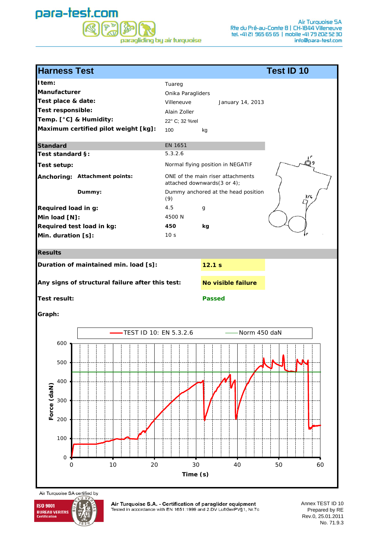### para-test.com  $\sqrt{\mathbf{P}^{\mathbf{D}}}$ 经 paragliding by air turquoise

| <b>Harness Test</b>                                                                                                                                                                      | <b>Test ID 10</b>                                                                                                                                                                                                                      |
|------------------------------------------------------------------------------------------------------------------------------------------------------------------------------------------|----------------------------------------------------------------------------------------------------------------------------------------------------------------------------------------------------------------------------------------|
| I tem:<br><b>Manufacturer</b><br>Test place & date:<br>Test responsible:<br>Temp. [°C] & Humidity:<br>Maximum certified pilot weight [kg]:                                               | Tuareg<br>Onika Paragliders<br>Villeneuve<br>January 14, 2013<br>Alain Zoller<br>22° C; 32 %rel<br>100<br>kg                                                                                                                           |
| <b>Standard</b><br>Test standard §:<br>Test setup:<br>Anchoring: Attachment points:<br>Dummy:<br>Required load in g:<br>Min load [N]:<br>Required test load in kg:<br>Min. duration [s]: | EN 1651<br>5.3.2.6<br>Normal flying position in NEGATIF<br>ONE of the main riser attachments<br>attached downwards(3 or 4);<br>Dummy anchored at the head position<br>3/4<br>(9)<br>4.5<br>g<br>4500 N<br>450<br>kg<br>10 <sub>s</sub> |
| <b>Results</b>                                                                                                                                                                           |                                                                                                                                                                                                                                        |
| Duration of maintained min. load [s]:<br>Any signs of structural failure after this test:<br><b>Test result:</b><br>Graph:                                                               | 12.1 s<br>No visible failure<br><b>Passed</b>                                                                                                                                                                                          |
| -TEST ID 10: EN 5.3.2.6<br>$600 -$<br>500<br>400<br>Force (daN)<br>300<br>200<br>100<br>$\mathbf 0$<br>10<br>20<br>$\mathbf 0$                                                           | Norm 450 daN<br>30<br>40<br>50<br>60<br>Time (s)                                                                                                                                                                                       |



Air Turquoise S.A. - Certification of paraglider equipment<br>Tested in accordance with EN 1651:1999 and 2.DV LuftGerPV§1, Nr.7c

Annex TEST ID 10 Prepared by RE Rev.0, 25.01.2011 No. 71.9.3